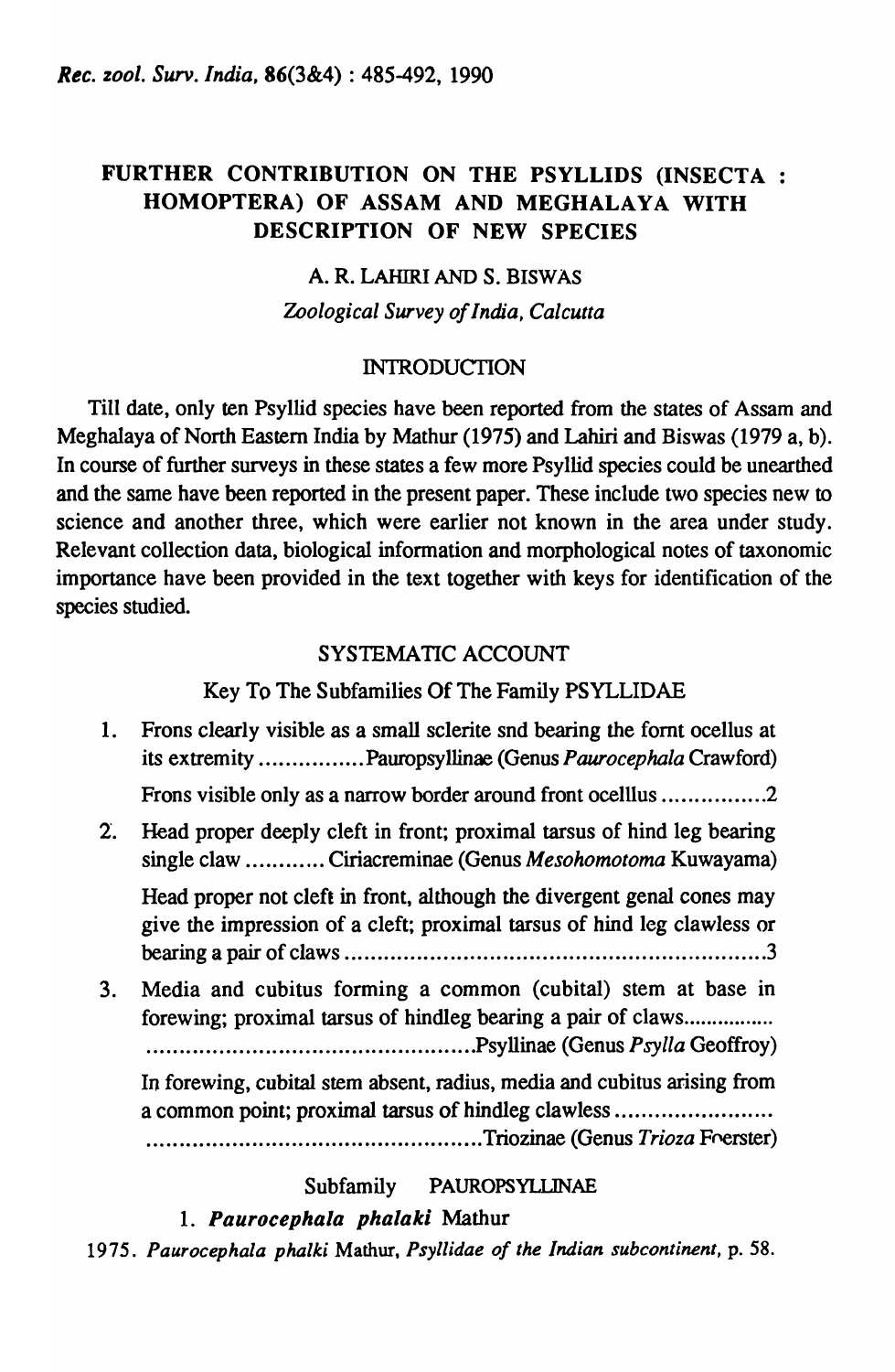# FURTHER CONTRIBUTION ON THE PSYLLIDS (INSECTA: HOMOPTERA) OF ASSAM AND MEGHALAYA WITH DESCRIPTION OF NEW SPECIES

# A. R. LAHIRI AND S. BISWAS *Zoological Survey of India, Calcutta*

### INTRODUCTION

Till date, only ten Psyllid species have been reported from the states of Assam and Meghalaya of North Eastern India by Mathur (1975) and Lahiri and Biswas (1979 a, b). In course of further surveys in these states a few more Psyllid species could be unearthed and the same have been reported in the present paper. These include two species new to science and another three, which were earlier not known in the area under study. Relevant collection data, biological information and morphological notes of taxonomic importance have been provided in the text together with keys for identification of the species studied.

# SYSTEMATIC ACCOUNT

# Key To The Subfamilies Of The Family PSYLLIDAE

- 1. Frons clearly visible as a small sclerite snd bearing the fornt ocellus at its extremity ................ Pauropsyllinae (Genus *Paurocepha/a* Crawford) Frons visible only as a narrow border around front ocelllus ................ 2
- 2. Head proper deeply cleft in front; proximal tarsus of hind leg bearing single claw ............ Ciriacreminae (Genus *Mesohomotoma* Kuwayama) Head proper not cleft in front, although the divergent genal cones may give the impression of a cleft; proximal tarsus of hind leg clawless or rearing a pair of claws ... 0 0 •• o. 0.0. o •• o. 0 0 • 0 • 0 •••• o ••••• 00' •• o. o •••• o. 0000.0 •• o ••• 00' .3
- 3. Media and cubitus forming a common (cubital) stem at base in forewing; proximal tarsus of hindleg bearing a pair of claws................. •• 0 ••••••• 00 •••••••••••••••••••• 0.000. 0 0 0 0 00 0 ••••• Psyllinae (Genus *Psylla* Geoffroy)

In forewing, cubital stem absent, radius, media and cubitus arising from a common point; proximal tarsus of hindleg clawless ............................ ... .. ............. ...... . .. ............. .. ......... Triozinae (Genus *Trioza* Ff'erster)

# Subfamily PAUROPSYLLINAE

# 1. Paurocephala phalaki Mathur

*1975. Paurocephala phalki* Mathur, *Psyllidae of the Indian subcontinent,* p. 58.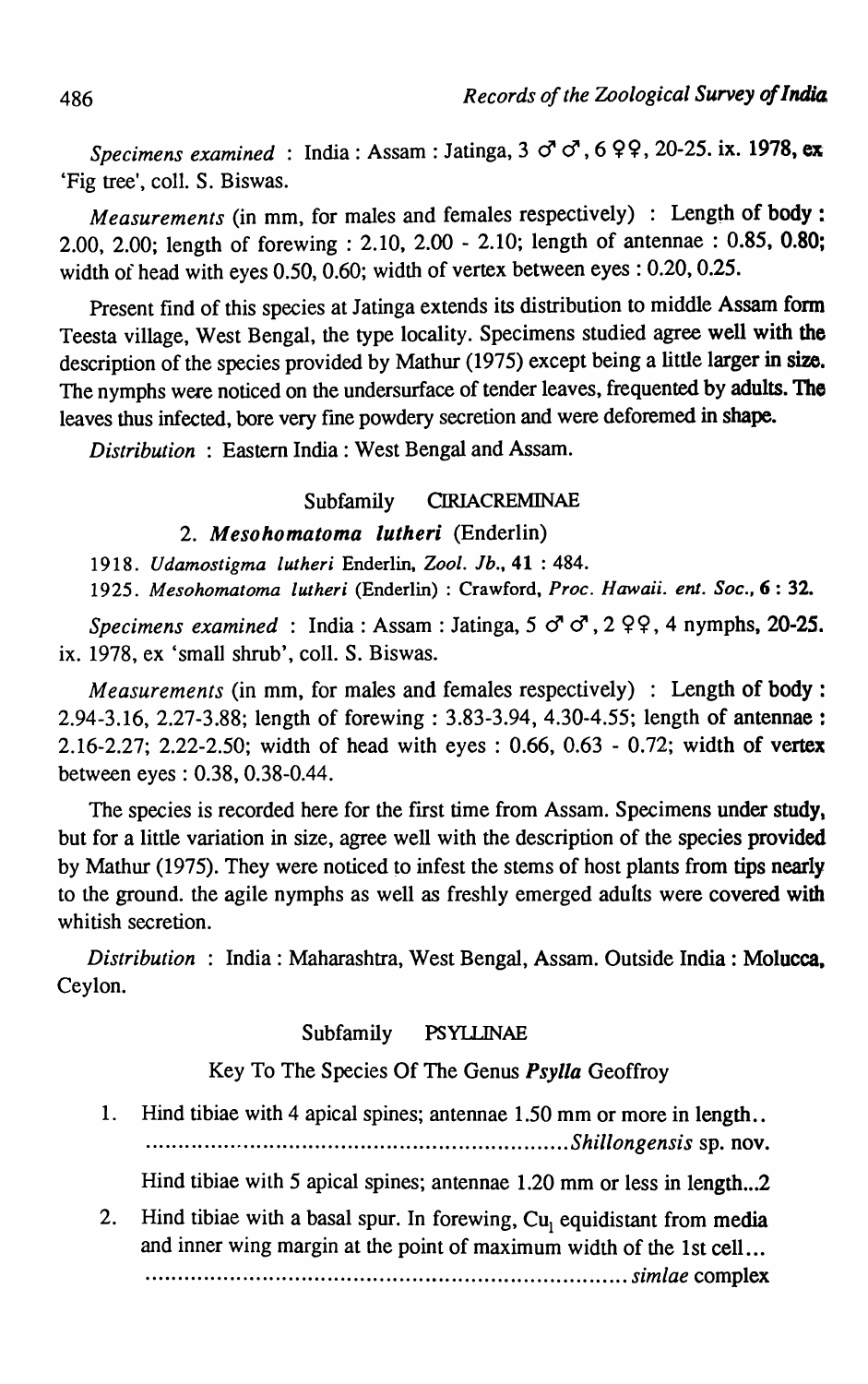*Specimens examined* : India: Assam: Jatinga, 3  $\sigma$   $\sigma$ , 6  $9$  9, 20-25. ix. 1978, ex 'Fig tree', colI. S. Biswas.

*Measurements* (in mm, for males and females respectively) : Length of body: 2.00, 2.00; length of forewing : 2.10, 2.00 - 2.10; length of antennae : 0.85, 0.80; width of head with eyes 0.50, 0.60; width of vertex between eyes: 0.20, 0.25.

Present find of this species at Jatinga extends its distribution to middle Assam form Teesta village, West Bengal, the type locality. Specimens studied agree well with the description of the species provided by Mathur (1975) except being a little larger in size. The nymphs were noticed on the undersurface of tender leaves, frequented by adults. The leaves thus infected, bore very fme powdery secretion and were deforemed in shape.

*Distribution:* Eastern India: West Bengal and Assam.

### Subfamily CIRIACREMINAE

#### *2. Mesohomatoma lutheri* (Enderlin)

*1918. Udamostigma lutheri* Enderlin, *Zool. lb.,* 41 : 484. *1925. Mesohomatoma lutheri* (Enderlin) : Crawford, *Proc. Hawaii. em. Soc.,* 6 : 32.

*Specimens examined* : India: Assam : Jatinga, 5  $\sigma$   $\sigma$ , 2  $99$ , 4 nymphs, 20-25. ix. 1978, ex 'small shrub', colI. S. Biswas.

*Measurements* (in mm, for males and females respectively) : Length of body: 2.94-3.16, 2.27-3.88; length of forewing: 3.83-3.94, 4.30-4.55; length of antennae: 2.16-2.27; 2.22-2.50; width of head with eyes: 0.66, 0.63 - 0.72; width of vertex between eyes: 0.38, 0.38-0.44.

The species is recorded here for the first time from Assam. Specimens under study, but for a little variation in size, agree well with the description of the species provided by Mathur (1975). They were noticed to infest the stems of host plants from tips nearly to the ground. the agile nymphs as well as freshly emerged adults were covered with whitish secretion.

*Distribution* : India: Maharashtra, West Bengal, Assam. Outside India: Molucca, Ceylon.

#### Subfamily PSYLLINAE

Key To The Species Of The Genus *Psylla* Geoffroy

1. Hind tibiae with 4 apical spines; antennae 1.50 mm or more in length .. ................................................................. *Shillongensis* sp. nov.

Hind tibiae with 5 apical spines; antennae 1.20 mm or less in length...2

2. Hind tibiae with a basal spur. In forewing,  $Cu<sub>1</sub>$  equidistant from media and inner wing margin at the point of maximum width of the 1st cell ... . . . . . . . . . . . . . .. . . . . . .. . . .. · ............................................... *simlae* complex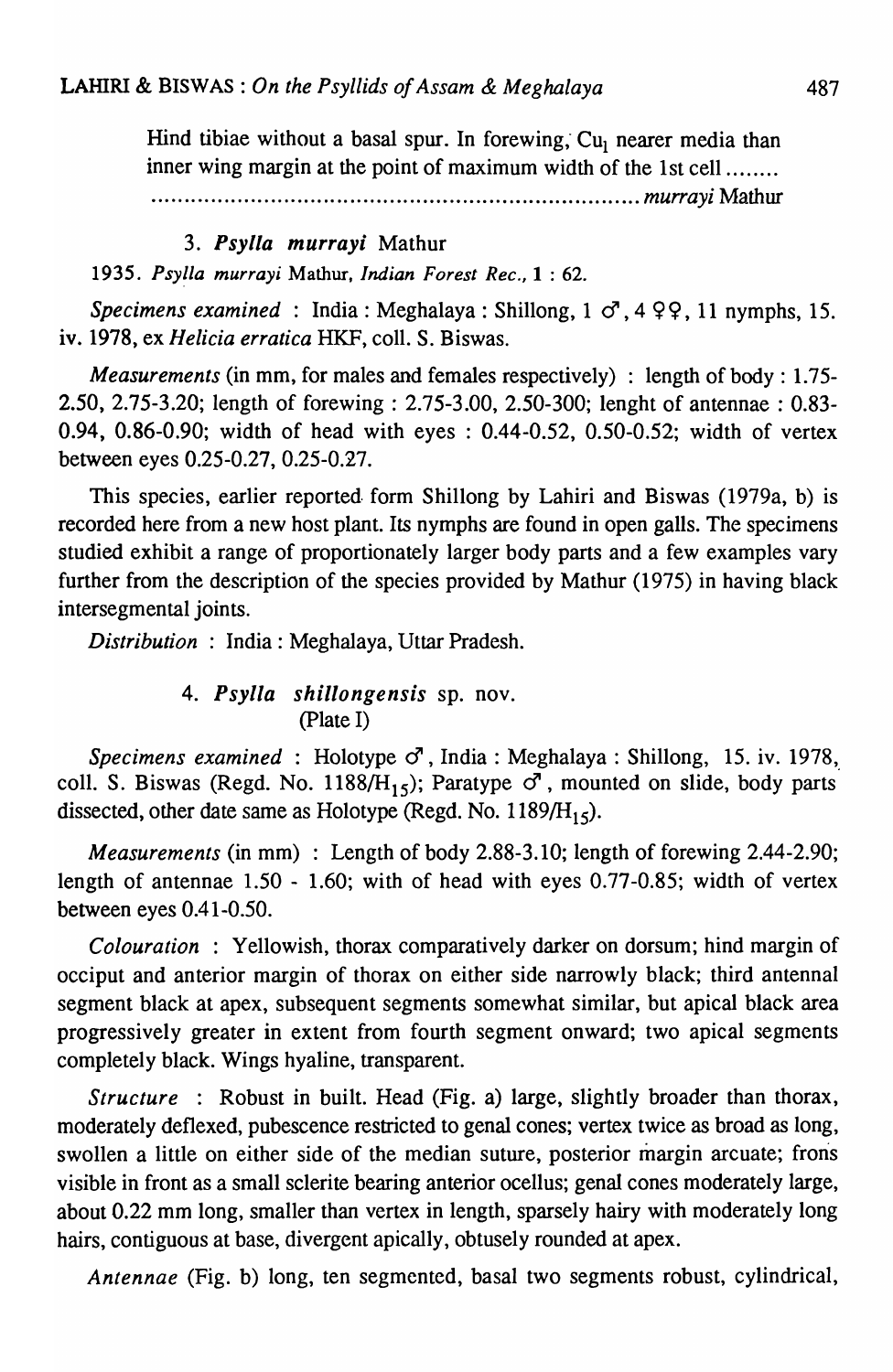Hind tibiae without a basal spur. In forewing,  $Cu<sub>1</sub>$  nearer media than inner wing margin at the point of maximum width of the 1st cell .......

· ......................................................................... *mu"ayi* Mathur

#### *3. Psylla murrayi* Mathur

*1935. Psy!la murray;* Mathur, *Indian Forest Rec.,* 1 : 62.

*Specimens examined* : India: Meghalaya: Shillong, 1  $\sigma$ , 4 9 9, 11 nymphs, 15. iv. 1978, ex *Helicia erratica* HKF, colI. S. Biswas.

*Measurements* (in mm, for males and females respectively) : length of body: 1.75- 2.50, 2.75-3.20; length of forewing: 2.75-3.00, 2.50-300; lenght of antennae: 0.83- 0.94, 0.86-0.90; width of head with eyes : 0.44-0.52, 0.50-0.52; width of vertex between eyes 0.25-0.27, 0.25-0.27.

This species, earlier reported. form Shillong by Lahiri and Biswas (1979a, b) is recorded here from a new host plant. Its nymphs are found in open galls. The specimens studied exhibit a range of proportionately larger body parts and a few examples vary further from the description of the species provided by Mathur (1975) in having black intersegmental joints.

*Distribution* : India: Meghalaya, Uttar Pradesh.

### *4. Psylla shillongensis* sp. nov. (plate I)

*Specimens examined* : Holotype *cJ* , India: Meghalaya : Shillong, 15. iv. 1978, coll. S. Biswas (Regd. No. 1188/ $H_{15}$ ); Paratype  $\sigma$ , mounted on slide, body parts dissected, other date same as Holotype (Regd. No. 1189/ $H_{15}$ ).

*Measurements* (in mm) : Length of body 2.88-3.10; length of forewing 2.44-2.90; length of antennae 1.50 - 1.60; with of head with eyes 0.77-0.85; width of vertex between eyes 0.41-0.50.

*Colouration* : Yellowish, thorax comparatively darker on dorsum; hind margin of occiput and anterior margin of thorax on either side narrowly black; third antennal segment black at apex, subsequent segments somewhat similar, but apical black area progressively greater in extent from fourth segment onward; two apical segments completely black. Wings hyaline, transparent.

*Structure* : Robust in built. Head (Fig. a) large, slightly broader than thorax, moderately deflexed, pubescence restricted to genal cones; vertex twice as broad as long, swollen a little on either side of the median suture, posterior margin arcuate; frons visible in front as a small sclerite bearing anterior ocellus; genal cones moderately large, about 0.22 mm long, smaller than vertex in length, sparsely hairy with moderately long hairs, contiguous at base, divergent apically, obtusely rounded at apex.

*Antennae* (Fig. b) long, ten segmented, basal two segments robust, cylindrical,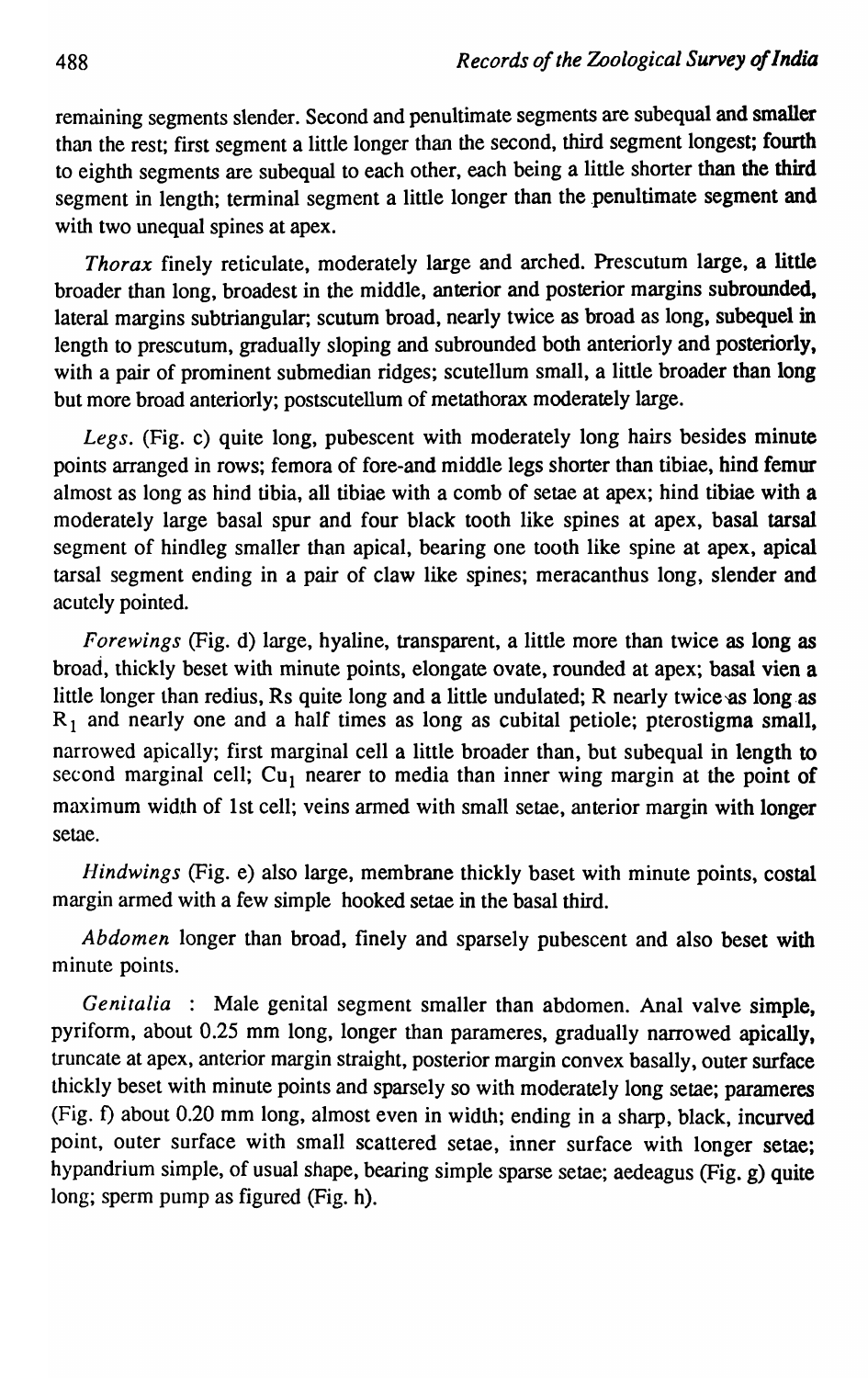remaining segments slender. Second and penultimate segments are subequal and smaller than the rest; first segment a little longer than the second, third segment longest; fourth to eighth segments are subequal to each other, each being a little shorter than the third segment in length; terminal segment a little longer than the penultimate segment and with two unequal spines at apex.

*Thorax* finely reticulate, moderately large and arched. Prescutum large, a little broader than long, broadest in the middle, anterior and posterior margins subrounded, lateral margins subtriangular; scutum broad, nearly twice as broad as long, subequel in length to prescutum, gradually sloping and subrounded both anteriorly and posteriorly, with a pair of prominent submedian ridges; scutellum small, a little broader than long but more broad anteriorly; postscutellum of metathorax moderately large.

Legs. (Fig. c) quite long, pubescent with moderately long hairs besides minute points arranged in rows; femora of fore-and middle legs shorter than tibiae, hind femur almost as long as hind tibia, all tibiae with a comb of setae at apex; hind tibiae with a moderately large basal spur and four black tooth like spines at apex, basal tarsal segment of hindleg smaller than apical, bearing one tooth like spine at apex, apical tarsal segment ending in a pair of claw like spines; meracanthus long, slender and acutely pointed.

*Forewings* (Fig. d) large, hyaline, transparent, a little more than twice as long as broad, thickly beset with minute points, elongate ovate, rounded at apex; basal vien a little longer than redius, Rs quite long and a little undulated; R nearly twice-as long.as  $R_1$  and nearly one and a half times as long as cubital petiole; pterostigma small, narrowed apically; first marginal cell a little broader than, but subequal in length to second marginal cell; Cu<sub>1</sub> nearer to media than inner wing margin at the point of maximum width of 1st cell; veins armed with small setae, anterior margin with longer setae.

*Hindwings* (Fig. e) also large, membrane thickly baset with minute points, costal margin armed with a few simple hooked setae in the basal third.

*Abdomen* longer than broad, finely and sparsely pubescent and also beset with minute points.

*Genitalia* : Male genital segment smaller than abdomen. Anal valve simple, pyriform, about 0.25 mm long, longer than parameres, gradually narrowed apically, truncate at apex, anterior margin straight, posterior margin convex basally, outer surface thickly beset with minute points and sparsely so with moderately long setae; parameres (Fig. f) about 0.20 mm long, almost even in width; ending in a sharp, black, incurved point, outer surface with small scattered setae, inner surface with longer setae; hypandrium simple, of usual shape, bearing simple sparse setae; aedeagus (Fig. g) quite long; sperm pump as figured (Fig. h).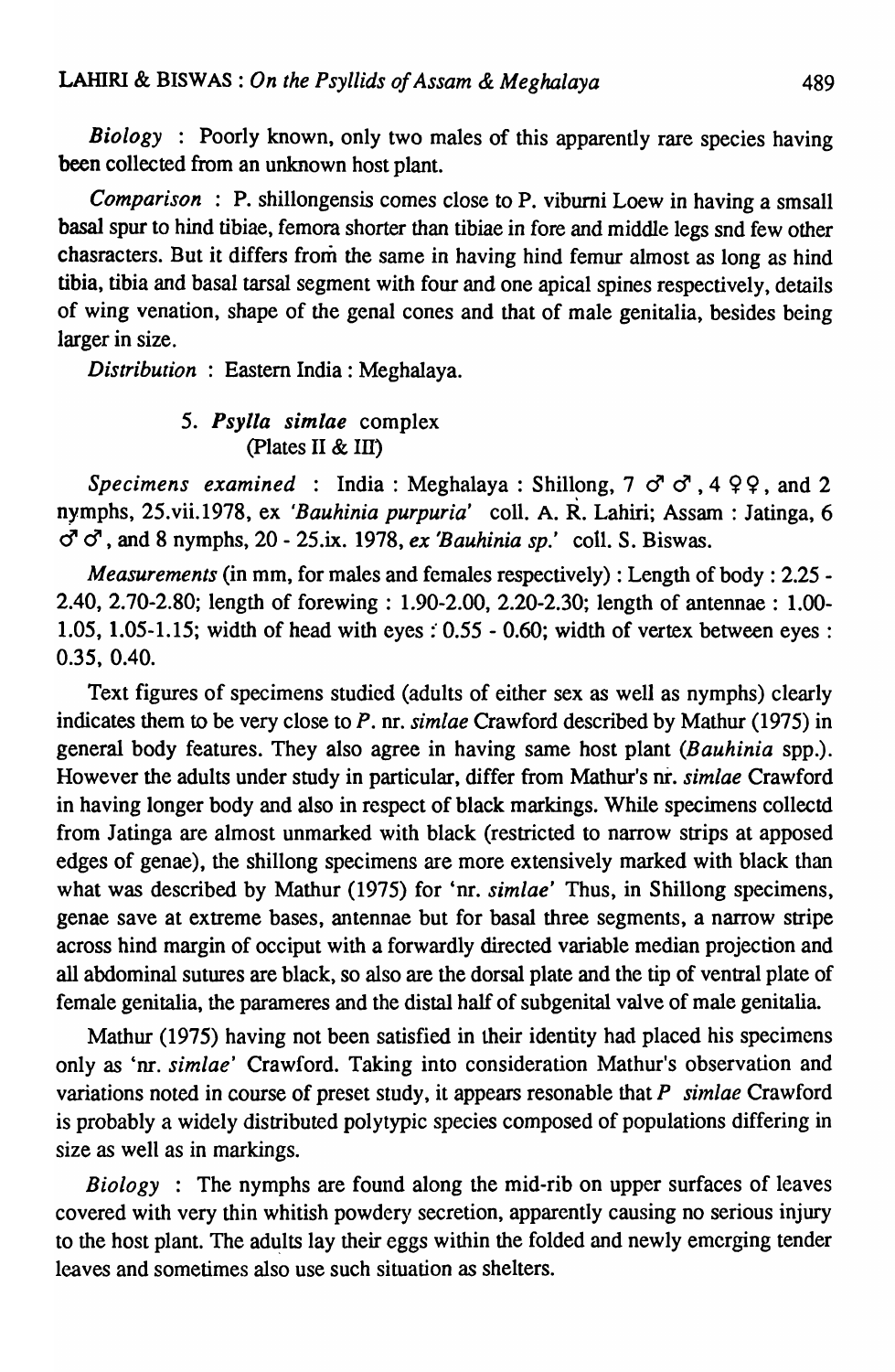*Biology* : Poorly known, only two males of this apparently rare species having been collected from an unknown host plant.

*Comparison* : P. shillongensis comes close to P. viburni Loew in having a smsall basal spur to hind tibiae, femora shorter than tibiae in fore and middle legs snd few other chasracters. But it differs from the same in having hind femur almost as long as hind tibia, tibia and basal tarsal segment with four and one apical spines respectively, details of wing venation, shape of the genal cones and that of male genitalia, besides being larger in size.

*Distribution* : Eastern India: Meghalaya.

### *5. Psylla simlae* complex (plates II & In)

*Specimens examined* : India: Meghalaya: Shillong,  $7 \circ 7 \circ 7$ ,  $4 \circ 9$ , and 2 nymphs, 25.vii.1978, ex *'Bauhinia purpuria'* colI. A. R. Lahiri; Assam: Jatinga, 6 " " , and 8 nymphs, 20 - 25.ix. 1978, *ex 'Bauhinia sp.'* colI. S. Biswas.

*Measurements* (in mm, for males and females respectively) : Length of body : 2.25 - 2.40, 2.70-2.80; length of forewing: 1.90-2.00, 2.20-2.30; length of antennae: 1.00- 1.05, 1.05-1.15; width of head with eyes  $: 0.55 - 0.60$ ; width of vertex between eyes: 0.35, 0.40.

Text figures of specimens studied (adults of either sex as well as nymphs) clearly indicates them to be very close to *P.* nr. *simlae* Crawford described by Mathur (1975) in general body features. They also agree in having same host plant *(Bauhinia spp.)*. However the adults under study in particular, differ from Mathur's nr. *simlae* Crawford in having longer body and also in respect of black markings. While specimens collectd from Jatinga are almost unmarked with black (restricted to narrow strips at apposed edges of genae), the shillong specimens are more extensively marked with black than what was described by Mathur (1975) for 'nr. *simlae'* Thus, in Shillong specimens, genae save at extreme bases, antennae but for basal three segments, a narrow stripe across hind margin of occiput with a forwardly directed variable median projection and all abdominal sutures are black, so also are the dorsal plate and the tip of ventral plate of female genitalia, the parameres and the distal half of subgenital valve of male genitalia.

Mathur (1975) having not been satisfied in their identity had placed his specimens only as 'nr. *simlae'* Crawford. Taking into consideration Mathur's observation and variations noted in course of preset study, it appears resonable that P *simlae* Crawford is probably a widely distributed polytypic species composed of populations differing in size as well as in markings.

*Biology* : The nymphs are found along the mid-rib on upper surfaces of leaves covered with very thin whitish powdery secretion, apparently causing no serious injury to the host plant. The adults lay their eggs within the folded and newly emerging tender leaves and sometimes also use such situation as shelters.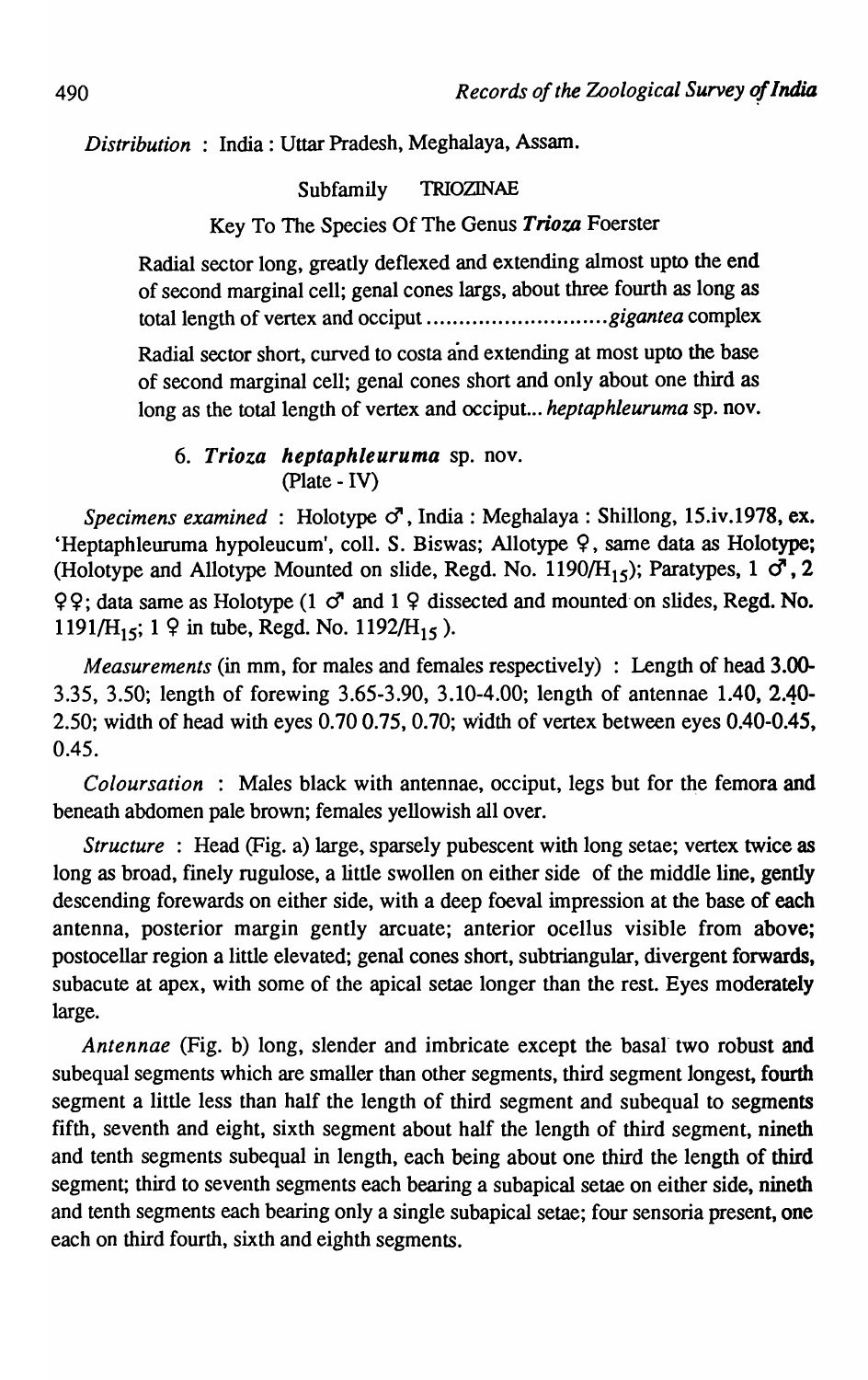*Distribution* : India: Uttar Pradesh, Meghalaya, Assam.

Subfamily TRIOZINAE

Key To The Species Of The Genus *Trioza* Foerster

Radial sector long, greatly de flexed and extending almost upto the end of second marginal cell; genal cones largs, about three fourth as long as total length of vertex and occiput ............................ *g igan tea* complex

Radial sector short, curved to costa and extending at most upto the base of second marginal cell; genal cones short and only about one third as long as the total length of vertex and occiput. .. *heptaphleuruma* sp. nov.

### *6. Trioza heptaphleuruma* sp. nov. (plate - IV)

Specimens examined: Holotype  $\sigma^2$ , India: Meghalaya: Shillong, 15.iv.1978, ex. 'Heptaphleuruma hypoleucum', coll. S. Biswas; Allotype  $\varphi$ , same data as Holotype; (Holotype and Allotype Mounted on slide, Regd. No. 1190/ $H_{15}$ ); Paratypes, 1  $\sigma$ , 2  $Q\Omega$ ; data same as Holotype (1  $\sigma$ <sup>t</sup> and 1  $\Omega$  dissected and mounted on slides, Regd. No. 1191/H<sub>15</sub>; 1  $\circ$  in tube, Regd. No. 1192/H<sub>15</sub>).

*Measurements* (in mm, for males and females respectively) : Length of head 3.00-3.35, 3.50; length of forewing 3.65-3.90, 3.10-4.00; length of antennae 1.40, 2.40- 2.50; width of head with eyes 0.700.75, 0.70; width of vertex between eyes 0.40-0.45, 0.45.

*Coloursation* : Males black with antennae, occiput, legs but for the femora and beneath abdomen pale brown; females yellowish all over.

*Structure* : Head (Fig. a) large, sparsely pubescent with long setae; vertex twice as long as broad, finely rugulose, a little swollen on either side of the middle line, gently descending forewards on either side, with a deep foeval impression at the base of each antenna, posterior margin gently arcuate; anterior ocellus visible from above; postocellar region a little elevated; genal cones short, subtriangular, divergent forwards, subacute at apex, with some of the apical setae longer than the rest. Eyes moderately large.

*Antennae* (Fig. b) long, slender and imbricate except the basal two robust and subequal segments which are smaller than other segments, third segment longest, fourth segment a little less than half the length of third segment and subequal to segments fifth, seventh and eight, sixth segment about half the length of third segment, nineth and tenth segments subequal in length, each being about one third the length of third segment; third to seventh segments each bearing a subapical setae on either side, nineth and tenth segments each bearing only a single subapical setae; four sensoria present, one each on third fourth, sixth and eighth segments.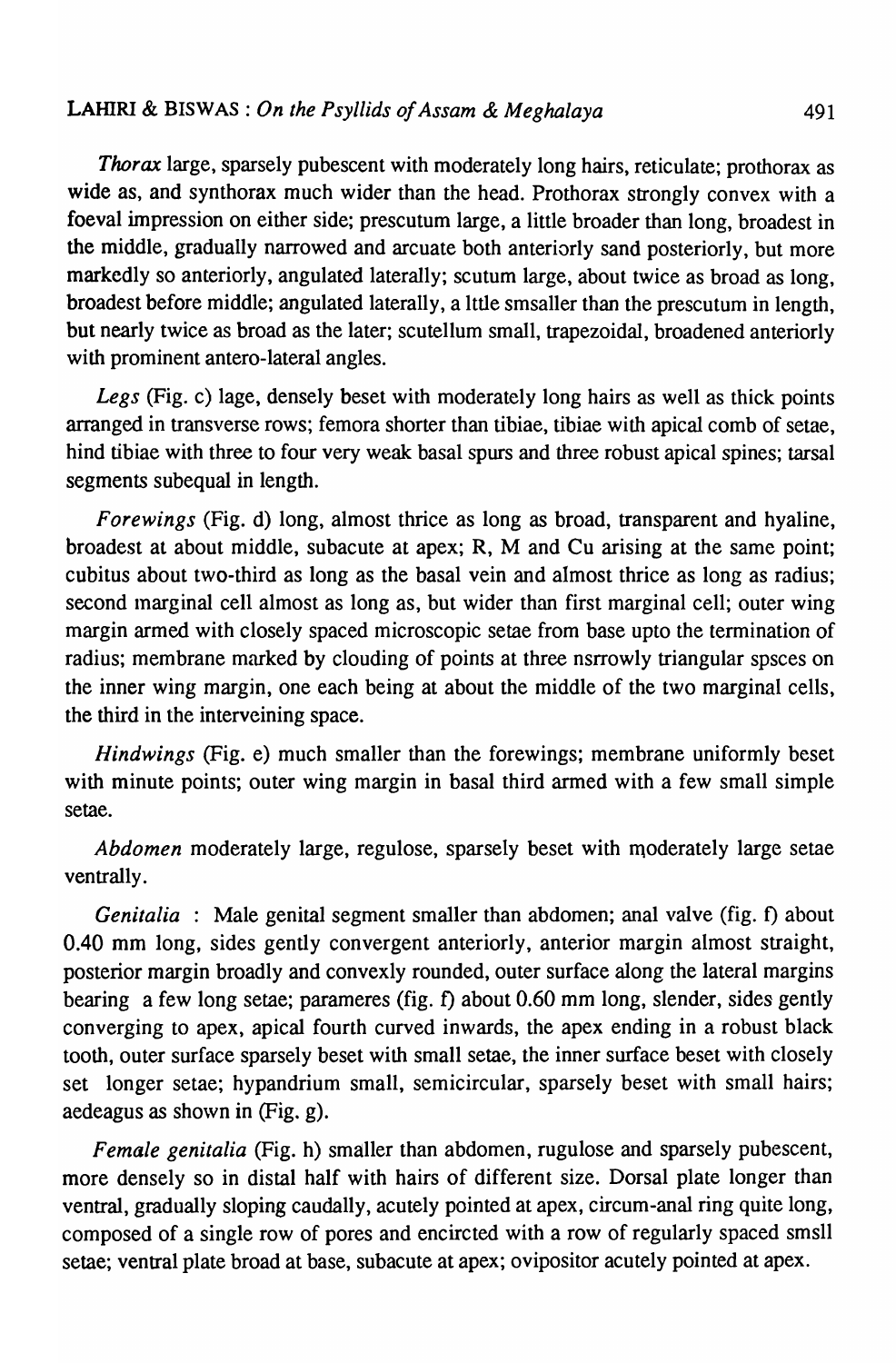*Thorax* large, sparsely pubescent with moderately long hairs, reticulate; prothorax as wide as, and synthorax much wider than the head. Prothorax strongly convex with a foeval impression on either side; prescutum large, a little broader than long, broadest in the middle, gradually narrowed and arcuate both anteriorly sand posteriorly, but more markedly so anteriorly, angulated laterally; scutum large, about twice as broad as long, broadest before middle; angulated laterally, a Ittle smsaller than the prescutum in length, but nearly twice as broad as the later; scutellum small, trapezoidal, broadened anteriorly with prominent antero-lateral angles.

*Legs* (Fig. c) lage, densely beset with moderately long hairs as well as thick points arranged in transverse rows; femora shorter than tibiae, tibiae with apical comb of setae, hind tibiae with three to four very weak basal spurs and three robust apical spines; tarsal segments subequal in length.

*Forewings* (Fig. d) long, almost thrice as long as broad, transparent and hyaline, broadest at about middle, subacute at apex; R, M and Cu arising at the same point; cubitus about two-third as long as the basal vein and almost thrice as long as radius; second inarginal cell almost as long as, but wider than first marginal cell; outer wing margin armed with closely spaced microscopic setae from base upto the termination of radius; membrane marked by clouding of points at three nsrrowly triangular spsces on the inner wing margin, one each being at about the middle of the two marginal cells, the third in the interveining space.

*Hindwings* (Fig. e) much smaller than the forewings; membrane uniformly beset with minute points; outer wing margin in basal third armed with a few small simple setae.

*Abdomen* moderately large, regulose, sparsely beset with moderately large setae ventrally.

*Genitalia* : Male genital segment smaller than abdomen; anal valve (fig. f) about 0.40 mm long, sides gently convergent anteriorly, anterior margin almost straight, posterior margin broadly and convexly rounded, outer surface along the lateral margins bearing a few long setae; parameres (fig. f) about 0.60 mm long, slender, sides gently converging to apex, apical fourth curved inwards, the apex ending in a robust black tooth, outer surface sparsely beset with small setae, the inner surface beset with closely set longer setae; hypandrium small, semicircular, sparsely beset with small hairs; aedeagus as shown in (Fig. g).

*Female genitalia* (Fig. h) smaller than abdomen, rugulose and sparsely pubescent, more densely so in distal half with hairs of different size. Dorsal plate longer than ventral, gradually sloping caudally, acutely pointed at apex, circum-anal ring quite long, composed of a single row of pores and encircted with a row of regularly spaced smsll setae; ventral plate broad at base, subacute at apex; ovipositor acutely pointed at apex.